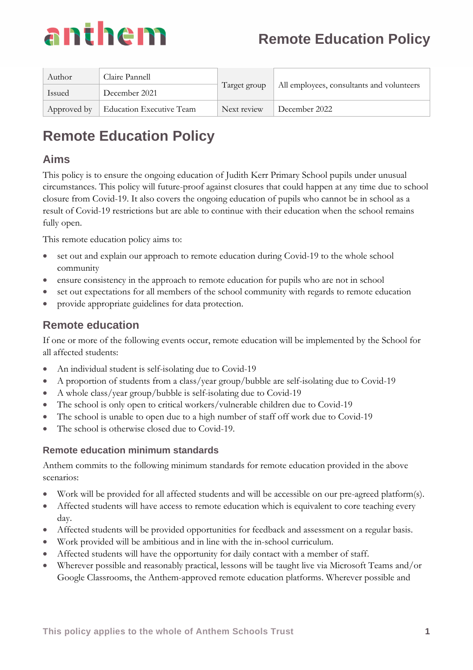

| Author      | Claire Pannell                  | Target group | All employees, consultants and volunteers |
|-------------|---------------------------------|--------------|-------------------------------------------|
| Issued      | December 2021                   |              |                                           |
| Approved by | <b>Education Executive Team</b> | Next review  | December 2022                             |

# **Remote Education Policy**

## **Aims**

This policy is to ensure the ongoing education of Judith Kerr Primary School pupils under unusual circumstances. This policy will future-proof against closures that could happen at any time due to school closure from Covid-19. It also covers the ongoing education of pupils who cannot be in school as a result of Covid-19 restrictions but are able to continue with their education when the school remains fully open.

This remote education policy aims to:

- set out and explain our approach to remote education during Covid-19 to the whole school community
- ensure consistency in the approach to remote education for pupils who are not in school
- set out expectations for all members of the school community with regards to remote education
- provide appropriate guidelines for data protection.

## **Remote education**

If one or more of the following events occur, remote education will be implemented by the School for all affected students:

- An individual student is self-isolating due to Covid-19
- A proportion of students from a class/year group/bubble are self-isolating due to Covid-19
- A whole class/year group/bubble is self-isolating due to Covid-19
- The school is only open to critical workers/vulnerable children due to Covid-19
- The school is unable to open due to a high number of staff off work due to Covid-19
- The school is otherwise closed due to Covid-19.

#### **Remote education minimum standards**

Anthem commits to the following minimum standards for remote education provided in the above scenarios:

- Work will be provided for all affected students and will be accessible on our pre-agreed platform(s).
- Affected students will have access to remote education which is equivalent to core teaching every day.
- Affected students will be provided opportunities for feedback and assessment on a regular basis.
- Work provided will be ambitious and in line with the in-school curriculum.
- Affected students will have the opportunity for daily contact with a member of staff.
- Wherever possible and reasonably practical, lessons will be taught live via Microsoft Teams and/or Google Classrooms, the Anthem-approved remote education platforms. Wherever possible and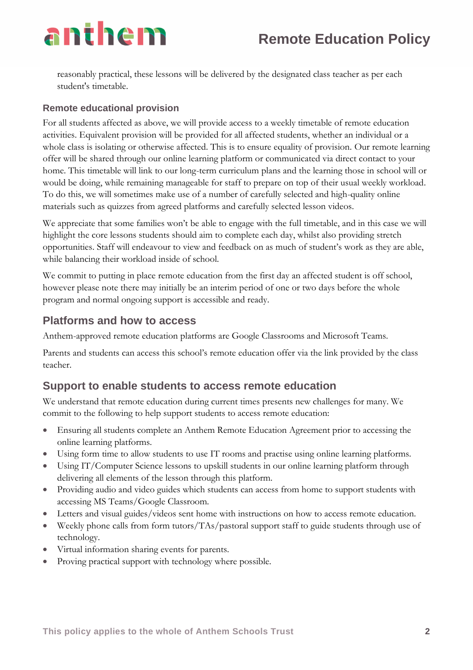reasonably practical, these lessons will be delivered by the designated class teacher as per each student's timetable.

#### **Remote educational provision**

For all students affected as above, we will provide access to a weekly timetable of remote education activities. Equivalent provision will be provided for all affected students, whether an individual or a whole class is isolating or otherwise affected. This is to ensure equality of provision. Our remote learning offer will be shared through our online learning platform or communicated via direct contact to your home. This timetable will link to our long-term curriculum plans and the learning those in school will or would be doing, while remaining manageable for staff to prepare on top of their usual weekly workload. To do this, we will sometimes make use of a number of carefully selected and high-quality online materials such as quizzes from agreed platforms and carefully selected lesson videos.

We appreciate that some families won't be able to engage with the full timetable, and in this case we will highlight the core lessons students should aim to complete each day, whilst also providing stretch opportunities. Staff will endeavour to view and feedback on as much of student's work as they are able, while balancing their workload inside of school.

We commit to putting in place remote education from the first day an affected student is off school, however please note there may initially be an interim period of one or two days before the whole program and normal ongoing support is accessible and ready.

### **Platforms and how to access**

Anthem-approved remote education platforms are Google Classrooms and Microsoft Teams.

Parents and students can access this school's remote education offer via the link provided by the class teacher.

# **Support to enable students to access remote education**

We understand that remote education during current times presents new challenges for many. We commit to the following to help support students to access remote education:

- Ensuring all students complete an Anthem Remote Education Agreement prior to accessing the online learning platforms.
- Using form time to allow students to use IT rooms and practise using online learning platforms.
- Using IT/Computer Science lessons to upskill students in our online learning platform through delivering all elements of the lesson through this platform.
- Providing audio and video guides which students can access from home to support students with accessing MS Teams/Google Classroom.
- Letters and visual guides/videos sent home with instructions on how to access remote education.
- Weekly phone calls from form tutors/TAs/pastoral support staff to guide students through use of technology.
- Virtual information sharing events for parents.
- Proving practical support with technology where possible.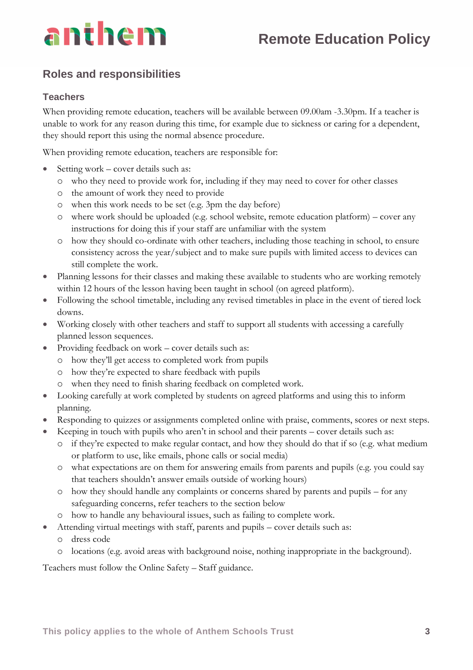

## **Roles and responsibilities**

#### **Teachers**

When providing remote education, teachers will be available between 09.00am -3.30pm. If a teacher is unable to work for any reason during this time, for example due to sickness or caring for a dependent, they should report this using the normal absence procedure.

When providing remote education, teachers are responsible for:

- Setting work cover details such as:
	- o who they need to provide work for, including if they may need to cover for other classes
	- o the amount of work they need to provide
	- o when this work needs to be set (e.g. 3pm the day before)
	- o where work should be uploaded (e.g. school website, remote education platform) cover any instructions for doing this if your staff are unfamiliar with the system
	- o how they should co-ordinate with other teachers, including those teaching in school, to ensure consistency across the year/subject and to make sure pupils with limited access to devices can still complete the work.
- Planning lessons for their classes and making these available to students who are working remotely within 12 hours of the lesson having been taught in school (on agreed platform).
- Following the school timetable, including any revised timetables in place in the event of tiered lock downs.
- Working closely with other teachers and staff to support all students with accessing a carefully planned lesson sequences.
- Providing feedback on work cover details such as:
	- o how they'll get access to completed work from pupils
	- o how they're expected to share feedback with pupils
	- o when they need to finish sharing feedback on completed work.
- Looking carefully at work completed by students on agreed platforms and using this to inform planning.
- Responding to quizzes or assignments completed online with praise, comments, scores or next steps.
- Keeping in touch with pupils who aren't in school and their parents cover details such as:
	- o if they're expected to make regular contact, and how they should do that if so (e.g. what medium or platform to use, like emails, phone calls or social media)
	- o what expectations are on them for answering emails from parents and pupils (e.g. you could say that teachers shouldn't answer emails outside of working hours)
	- o how they should handle any complaints or concerns shared by parents and pupils for any safeguarding concerns, refer teachers to the section below
	- o how to handle any behavioural issues, such as failing to complete work.
- Attending virtual meetings with staff, parents and pupils cover details such as:
	- o dress code
	- o locations (e.g. avoid areas with background noise, nothing inappropriate in the background).

Teachers must follow the Online Safety – Staff guidance.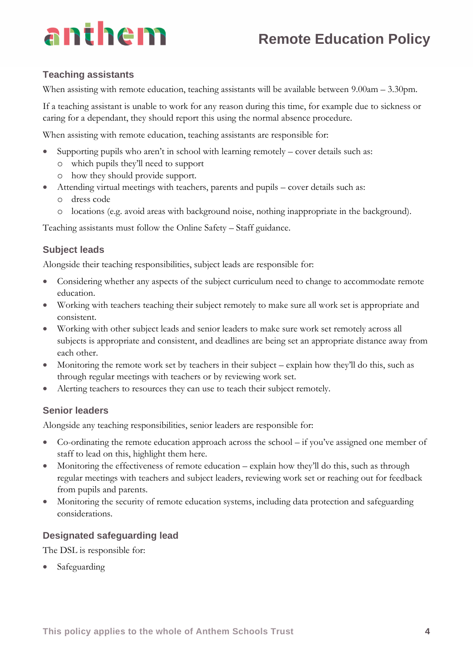# **Remote Education Policy**

# anthem

### **Teaching assistants**

When assisting with remote education, teaching assistants will be available between  $9.00$ am –  $3.30$ pm.

If a teaching assistant is unable to work for any reason during this time, for example due to sickness or caring for a dependant, they should report this using the normal absence procedure.

When assisting with remote education, teaching assistants are responsible for:

- Supporting pupils who aren't in school with learning remotely cover details such as:
	- o which pupils they'll need to support
	- o how they should provide support.
- Attending virtual meetings with teachers, parents and pupils cover details such as:
	- o dress code
	- o locations (e.g. avoid areas with background noise, nothing inappropriate in the background).

Teaching assistants must follow the Online Safety – Staff guidance.

## **Subject leads**

Alongside their teaching responsibilities, subject leads are responsible for:

- Considering whether any aspects of the subject curriculum need to change to accommodate remote education.
- Working with teachers teaching their subject remotely to make sure all work set is appropriate and consistent.
- Working with other subject leads and senior leaders to make sure work set remotely across all subjects is appropriate and consistent, and deadlines are being set an appropriate distance away from each other.
- Monitoring the remote work set by teachers in their subject explain how they'll do this, such as through regular meetings with teachers or by reviewing work set.
- Alerting teachers to resources they can use to teach their subject remotely.

## **Senior leaders**

Alongside any teaching responsibilities, senior leaders are responsible for:

- Co-ordinating the remote education approach across the school if you've assigned one member of staff to lead on this, highlight them here.
- Monitoring the effectiveness of remote education explain how they'll do this, such as through regular meetings with teachers and subject leaders, reviewing work set or reaching out for feedback from pupils and parents.
- Monitoring the security of remote education systems, including data protection and safeguarding considerations.

## **Designated safeguarding lead**

The DSL is responsible for:

• Safeguarding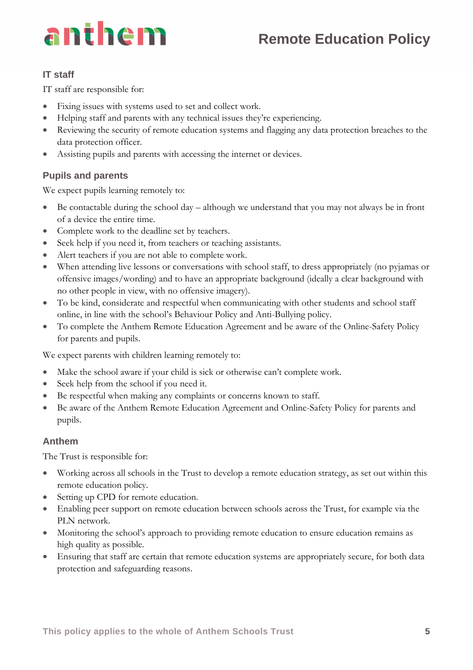# **Remote Education Policy**



### **IT staff**

IT staff are responsible for:

- Fixing issues with systems used to set and collect work.
- Helping staff and parents with any technical issues they're experiencing.
- Reviewing the security of remote education systems and flagging any data protection breaches to the data protection officer.
- Assisting pupils and parents with accessing the internet or devices.

#### **Pupils and parents**

We expect pupils learning remotely to:

- Be contactable during the school day  $-$  although we understand that you may not always be in front of a device the entire time.
- Complete work to the deadline set by teachers.
- Seek help if you need it, from teachers or teaching assistants.
- Alert teachers if you are not able to complete work.
- When attending live lessons or conversations with school staff, to dress appropriately (no pyjamas or offensive images/wording) and to have an appropriate background (ideally a clear background with no other people in view, with no offensive imagery).
- To be kind, considerate and respectful when communicating with other students and school staff online, in line with the school's Behaviour Policy and Anti-Bullying policy.
- To complete the Anthem Remote Education Agreement and be aware of the Online-Safety Policy for parents and pupils.

We expect parents with children learning remotely to:

- Make the school aware if your child is sick or otherwise can't complete work.
- Seek help from the school if you need it.
- Be respectful when making any complaints or concerns known to staff.
- Be aware of the Anthem Remote Education Agreement and Online-Safety Policy for parents and pupils.

#### **Anthem**

The Trust is responsible for:

- Working across all schools in the Trust to develop a remote education strategy, as set out within this remote education policy.
- Setting up CPD for remote education.
- Enabling peer support on remote education between schools across the Trust, for example via the PLN network.
- Monitoring the school's approach to providing remote education to ensure education remains as high quality as possible.
- Ensuring that staff are certain that remote education systems are appropriately secure, for both data protection and safeguarding reasons.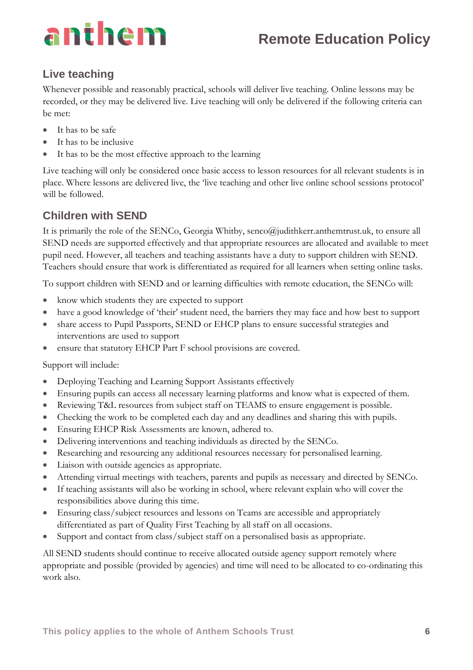# **Remote Education Policy**

# **Live teaching**

Whenever possible and reasonably practical, schools will deliver live teaching. Online lessons may be recorded, or they may be delivered live. Live teaching will only be delivered if the following criteria can be met:

- It has to be safe
- It has to be inclusive
- It has to be the most effective approach to the learning

Live teaching will only be considered once basic access to lesson resources for all relevant students is in place. Where lessons are delivered live, the 'live teaching and other live online school sessions protocol' will be followed.

# **Children with SEND**

It is primarily the role of the SENCo, Georgia Whitby, senco@judithkerr.anthemtrust.uk, to ensure all SEND needs are supported effectively and that appropriate resources are allocated and available to meet pupil need. However, all teachers and teaching assistants have a duty to support children with SEND. Teachers should ensure that work is differentiated as required for all learners when setting online tasks.

To support children with SEND and or learning difficulties with remote education, the SENCo will:

- know which students they are expected to support
- have a good knowledge of 'their' student need, the barriers they may face and how best to support
- share access to Pupil Passports, SEND or EHCP plans to ensure successful strategies and interventions are used to support
- ensure that statutory EHCP Part F school provisions are covered.

Support will include:

- Deploying Teaching and Learning Support Assistants effectively
- Ensuring pupils can access all necessary learning platforms and know what is expected of them.
- Reviewing T&L resources from subject staff on TEAMS to ensure engagement is possible.
- Checking the work to be completed each day and any deadlines and sharing this with pupils.
- Ensuring EHCP Risk Assessments are known, adhered to.
- Delivering interventions and teaching individuals as directed by the SENCo.
- Researching and resourcing any additional resources necessary for personalised learning.
- Liaison with outside agencies as appropriate.
- Attending virtual meetings with teachers, parents and pupils as necessary and directed by SENCo.
- If teaching assistants will also be working in school, where relevant explain who will cover the responsibilities above during this time.
- Ensuring class/subject resources and lessons on Teams are accessible and appropriately differentiated as part of Quality First Teaching by all staff on all occasions.
- Support and contact from class/subject staff on a personalised basis as appropriate.

All SEND students should continue to receive allocated outside agency support remotely where appropriate and possible (provided by agencies) and time will need to be allocated to co-ordinating this work also.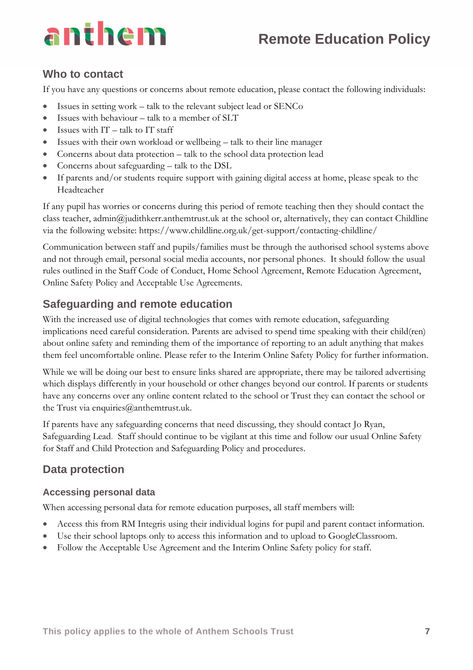# **Remote Education Policy**

## **Who to contact**

If you have any questions or concerns about remote education, please contact the following individuals:

- Issues in setting work talk to the relevant subject lead or SENCo
- Issues with behaviour talk to a member of SLT
- Issues with  $IT talk to IT staff$
- Issues with their own workload or wellbeing talk to their line manager
- Concerns about data protection talk to the school data protection lead
- Concerns about safeguarding talk to the DSL
- If parents and/or students require support with gaining digital access at home, please speak to the Headteacher

If any pupil has worries or concerns during this period of remote teaching then they should contact the class teacher, admin@judithkerr.anthemtrust.uk at the school or, alternatively, they can contact Childline via the following website: https://www.childline.org.uk/get-support/contacting-childline/

Communication between staff and pupils/families must be through the authorised school systems above and not through email, personal social media accounts, nor personal phones. It should follow the usual rules outlined in the Staff Code of Conduct, Home School Agreement, Remote Education Agreement, Online Safety Policy and Acceptable Use Agreements.

# **Safeguarding and remote education**

With the increased use of digital technologies that comes with remote education, safeguarding implications need careful consideration. Parents are advised to spend time speaking with their child(ren) about online safety and reminding them of the importance of reporting to an adult anything that makes them feel uncomfortable online. Please refer to the Interim Online Safety Policy for further information.

While we will be doing our best to ensure links shared are appropriate, there may be tailored advertising which displays differently in your household or other changes beyond our control. If parents or students have any concerns over any online content related to the school or Trust they can contact the school or the Trust via enquiries@anthemtrust.uk.

If parents have any safeguarding concerns that need discussing, they should contact Jo Ryan, Safeguarding Lead. Staff should continue to be vigilant at this time and follow our usual Online Safety for Staff and Child Protection and Safeguarding Policy and procedures.

# **Data protection**

#### **Accessing personal data**

When accessing personal data for remote education purposes, all staff members will:

- Access this from RM Integris using their individual logins for pupil and parent contact information.
- Use their school laptops only to access this information and to upload to GoogleClassroom.
- Follow the Acceptable Use Agreement and the Interim Online Safety policy for staff.